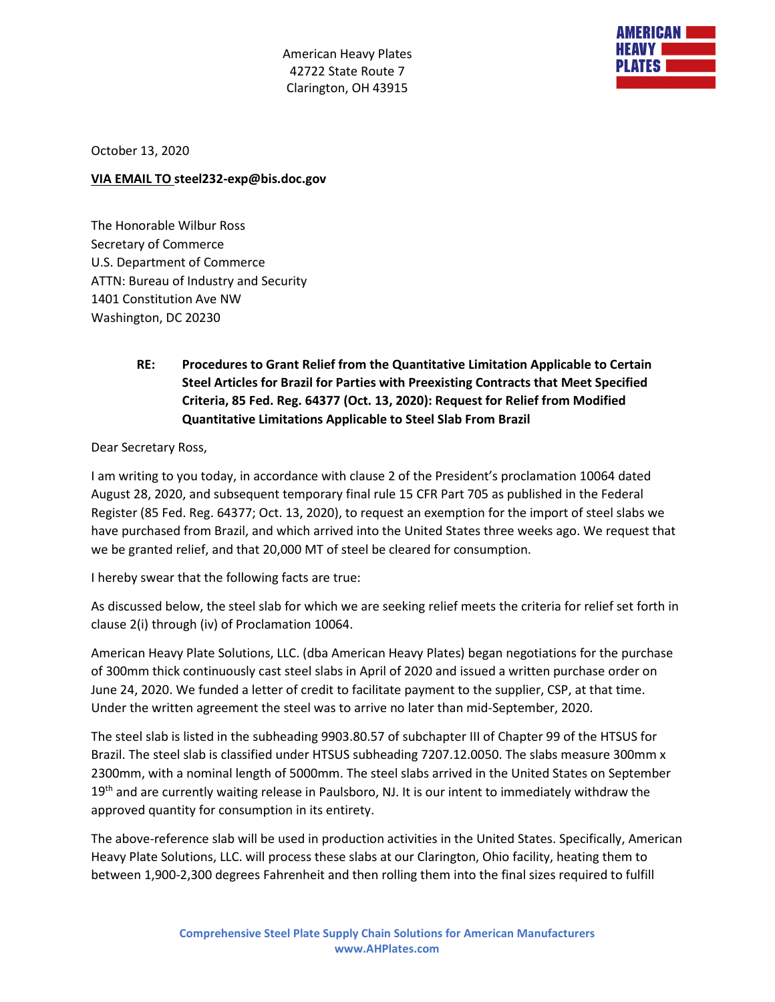American Heavy Plates 42722 State Route 7 Clarington, OH 43915



October 13, 2020

## **VIA EMAIL TO steel232-exp@bis.doc.gov**

The Honorable Wilbur Ross Secretary of Commerce U.S. Department of Commerce ATTN: Bureau of Industry and Security 1401 Constitution Ave NW Washington, DC 20230

## **RE: Procedures to Grant Relief from the Quantitative Limitation Applicable to Certain Steel Articles for Brazil for Parties with Preexisting Contracts that Meet Specified Criteria, 85 Fed. Reg. 64377 (Oct. 13, 2020): Request for Relief from Modified Quantitative Limitations Applicable to Steel Slab From Brazil**

Dear Secretary Ross,

I am writing to you today, in accordance with clause 2 of the President's proclamation 10064 dated August 28, 2020, and subsequent temporary final rule 15 CFR Part 705 as published in the Federal Register (85 Fed. Reg. 64377; Oct. 13, 2020), to request an exemption for the import of steel slabs we have purchased from Brazil, and which arrived into the United States three weeks ago. We request that we be granted relief, and that 20,000 MT of steel be cleared for consumption.

I hereby swear that the following facts are true:

As discussed below, the steel slab for which we are seeking relief meets the criteria for relief set forth in clause 2(i) through (iv) of Proclamation 10064.

American Heavy Plate Solutions, LLC. (dba American Heavy Plates) began negotiations for the purchase of 300mm thick continuously cast steel slabs in April of 2020 and issued a written purchase order on June 24, 2020. We funded a letter of credit to facilitate payment to the supplier, CSP, at that time. Under the written agreement the steel was to arrive no later than mid-September, 2020.

The steel slab is listed in the subheading 9903.80.57 of subchapter III of Chapter 99 of the HTSUS for Brazil. The steel slab is classified under HTSUS subheading 7207.12.0050. The slabs measure 300mm x 2300mm, with a nominal length of 5000mm. The steel slabs arrived in the United States on September 19<sup>th</sup> and are currently waiting release in Paulsboro, NJ. It is our intent to immediately withdraw the approved quantity for consumption in its entirety.

The above-reference slab will be used in production activities in the United States. Specifically, American Heavy Plate Solutions, LLC. will process these slabs at our Clarington, Ohio facility, heating them to between 1,900-2,300 degrees Fahrenheit and then rolling them into the final sizes required to fulfill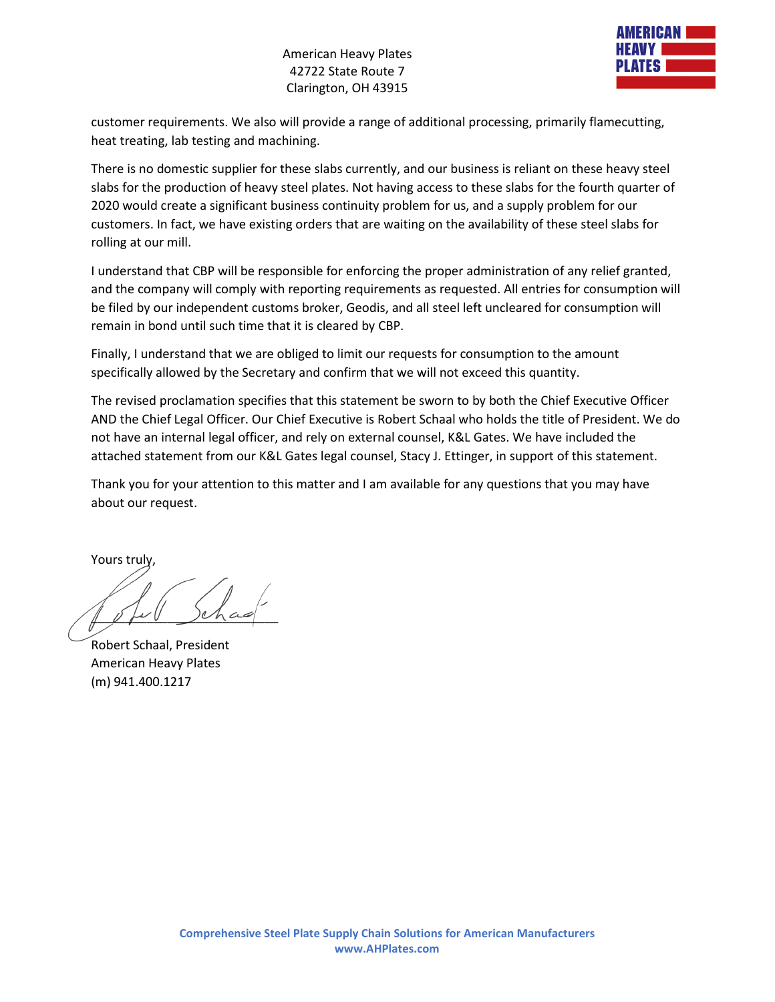## American Heavy Plates 42722 State Route 7 Clarington, OH 43915



customer requirements. We also will provide a range of additional processing, primarily flamecutting, heat treating, lab testing and machining.

There is no domestic supplier for these slabs currently, and our business is reliant on these heavy steel slabs for the production of heavy steel plates. Not having access to these slabs for the fourth quarter of 2020 would create a significant business continuity problem for us, and a supply problem for our customers. In fact, we have existing orders that are waiting on the availability of these steel slabs for rolling at our mill.

I understand that CBP will be responsible for enforcing the proper administration of any relief granted, and the company will comply with reporting requirements as requested. All entries for consumption will be filed by our independent customs broker, Geodis, and all steel left uncleared for consumption will remain in bond until such time that it is cleared by CBP.

Finally, I understand that we are obliged to limit our requests for consumption to the amount specifically allowed by the Secretary and confirm that we will not exceed this quantity.

The revised proclamation specifies that this statement be sworn to by both the Chief Executive Officer AND the Chief Legal Officer. Our Chief Executive is Robert Schaal who holds the title of President. We do not have an internal legal officer, and rely on external counsel, K&L Gates. We have included the attached statement from our K&L Gates legal counsel, Stacy J. Ettinger, in support of this statement.

Thank you for your attention to this matter and I am available for any questions that you may have about our request.

Yours truly,

 $\parallel$   $\ell$  for  $\ell$  )chao

Robert Schaal, President American Heavy Plates (m) 941.400.1217